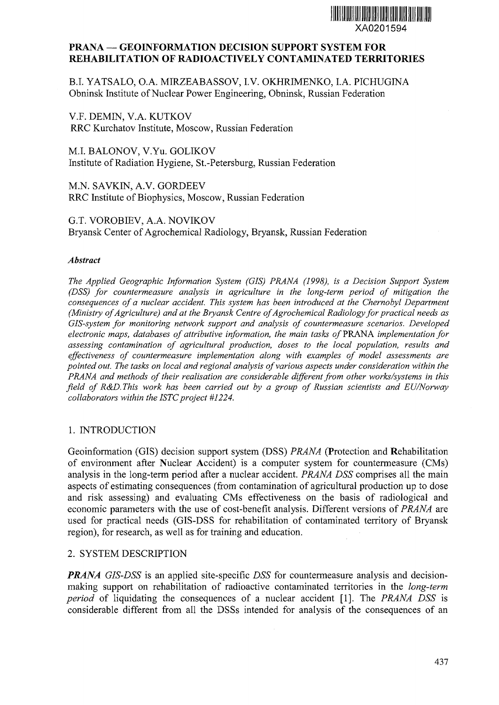# **XA0201594**

## **PRANA — GEOINFORMATION DECISION SUPPORT SYSTEM FOR REHABILITATION OF RADIOACTIVELY CONTAMINATED TERRITORIES**

B.I. YATSALO, O.A. MIRZEABASSOV, I.V. OKHRIMENKO, I.A. PICHUGINA Obninsk Institute of Nuclear Power Engineering, Obninsk, Russian Federation

V.F. DEMIN, V.A. KUTKOV RRC Kurchatov Institute, Moscow, Russian Federation

M.I. BALONOV, V.Yu. GOLIKOV Institute of Radiation Hygiene, St.-Petersburg, Russian Federation

M.N. SAVKIN, A.V. GORDEEV RRC Institute of Biophysics, Moscow, Russian Federation

G.T. VOROBIEV, A.A. NOVIKOV Bryansk Center of Agrochemical Radiology, Bryansk, Russian Federation

#### *Abstract*

*The Applied Geographic Information System (GIS) PRANA (1998), is a Decision Support System (DSS) for countermeasure analysis in agriculture in the long-term period of mitigation the consequences of a nuclear accident. This system has been introduced at the Chernobyl Department (Ministry of Agriculture) and at the Bryansk Centre of Agrochemical Radiology for practical needs as GIS-system for monitoring network support and analysis of countermeasure scenarios. Developed electronic maps, databases of attributive information, the main tasks of* PRANA *implementation for assessing contamination of agricultural production, doses to the local population, results and effectiveness of countermeasure implementation along with examples of model assessments are pointed out. The tasks on local and regional analysis of various aspects under consideration within the PRANA and methods of their realisation are considerable different from other works/systems in this field of R&D. This work has been carried out by a group of Russian scientists and EU/Norway collaborators within the ISTC project #1224.* 

## 1. INTRODUCTION

Geoinformation (GIS) decision support system (DSS) *PRANA* (Protection and Rehabilitation of environment after Nuclear Accident) is a computer system for countermeasure (CMs) analysis in the long-term period after a nuclear accident. *PRANA DSS* comprises all the main aspects of estimating consequences (from contamination of agricultural production up to dose and risk assessing) and evaluating CMs effectiveness on the basis of radiological and economic parameters with the use of cost-benefit analysis. Different versions of *PRANA* are used for practical needs (GIS-DSS for rehabilitation of contaminated territory of Bryansk region), for research, as well as for training and education.

## 2. SYSTEM DESCRIPTION

*PRANA GIS-DSS* is an applied site-specific *DSS* for countermeasure analysis and decisionmaking support on rehabilitation of radioactive contaminated territories in the *long-term period* of liquidating the consequences of a nuclear accident [1]. The *PRANA DSS* is considerable different from all the DSSs intended for analysis of the consequences of an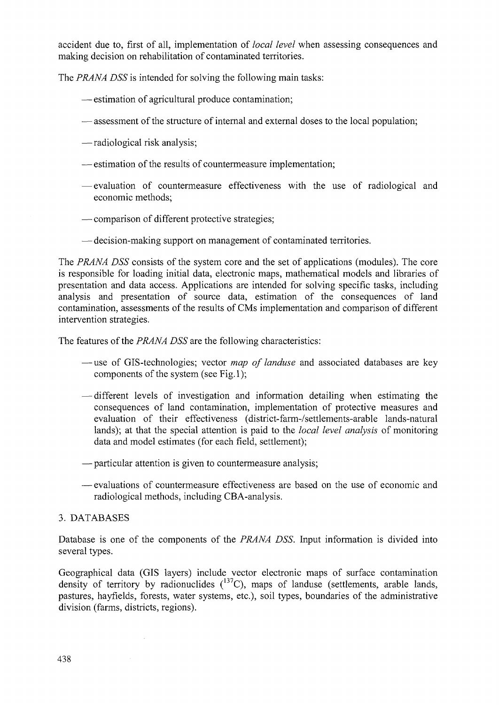accident due to, first of all, implementation of *local level* when assessing consequences and making decision on rehabilitation of contaminated territories.

The *PRANA DSS* is intended for solving the following main tasks:

- estimation of agricultural produce contamination;
- assessment of the structure of internal and external doses to the local population;
- —radiological risk analysis;
- estimation of the results of countermeasure implementation;
- evaluation of countermeasure effectiveness with the use of radiological and economic methods;
- comparison of different protective strategies;
- decision-making support on management of contaminated territories.

The *PRANA DSS* consists of the system core and the set of applications (modules). The core is responsible for loading initial data, electronic maps, mathematical models and libraries of presentation and data access. Applications are intended for solving specific tasks, including analysis and presentation of source data, estimation of the consequences of land contamination, assessments of the results of CMs implementation and comparison of different intervention strategies.

The features of the *PRANA DSS* are the following characteristics:

- —use of GIS-technologies; vector *map of landuse* and associated databases are key components of the system (see Fig.1);
- different levels of investigation and information detailing when estimating the consequences of land contamination, implementation of protective measures and evaluation of their effectiveness (district-farm-/settlements~arable lands-natural lands); at that the special attention is paid to the *local level analysis* of monitoring data and model estimates (for each field, settlement);
- particular attention is given to countermeasure analysis;
- evaluations of countermeasure effectiveness are based on the use of economic and radiological methods, including CBA-analysis.

## 3. DATABASES

 $\bar{\mathcal{A}}$ 

Database is one of the components of the *PRANA DSS.* Input information is divided into several types.

Geographical data (GIS layers) include vector electronic maps of surface contamination density of territory by radionuclides  $(^{137}C)$ , maps of landuse (settlements, arable lands, pastures, hayfields, forests, water systems, etc.), soil types, boundaries of the administrative division (farms, districts, regions).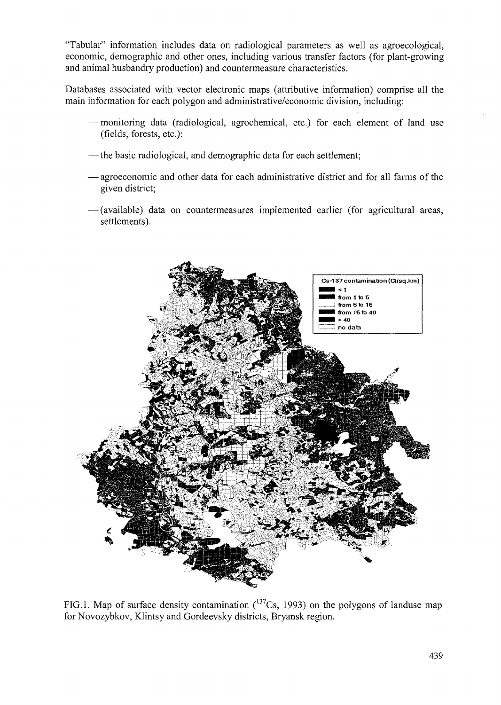"Tabular" information includes data on radiological parameters as well as agroecological, economic, demographic and other ones, including various transfer factors (for plant-growing and animal husbandry production) and countermeasure characteristics.

Databases associated with vector electronic maps (attributive information) comprise all the main information for each polygon and administrative/economic division, including:

- monitoring data (radiological, agrochemical, etc.) for each element of land use (fields, forests, etc.):
- the basic radiological, and demographic data for each settlement;
- agroeconomic and other data for each administrative district and for all farms of the given district;
- (available) data on countermeasures implemented earlier (for agricultural areas, settlements).



FIG.1. Map of surface density contamination  $(137Cs, 1993)$  on the polygons of landuse map for Novozybkov, Klintsy and Gordeevsky districts, Bryansk region.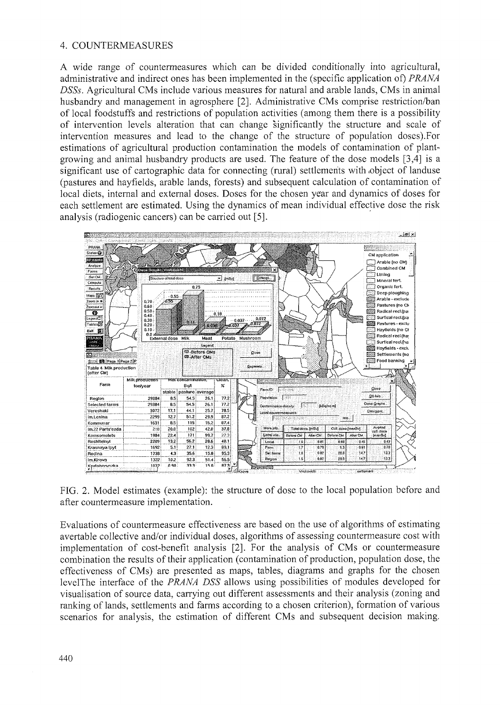## 4. COUNTERMEASURES

A wide range of countermeasures which can be divided conditionally into agricultural, administrative and indirect ones has been implemented in the (specific application of) PRANA DSSs, Agricultural CMs include various measures for natural and arable lands, CMs in animal husbandry and management in agrosphere [2]. Administrative CMs comprise restriction/ban of local foodstuffs and restrictions of population activities (among them there is a possibility of intervention levels alteration that can change significantly the structure and scale of intervention measures and lead to the change of the structure of population doses). For estimations of agricultural production contamination the models of contamination of plantgrowing and animal husbandry products are used. The feature of the dose models [3,4] is a significant use of cartographic data for connecting (rural) settlements with object of landuse (pastures and hayfields, arable lands, forests) and subsequent calculation of contamination of local diets, internal and external doses. Doses for the chosen year and dynamics of doses for each settlement are estimated. Using the dynamics of mean individual effective dose the risk analysis (radiogenic cancers) can be carried out [5].



FIG. 2. Model estimates (example): the structure of dose to the local population before and after countermeasure implementation.

Evaluations of countermeasure effectiveness are based on the use of algorithms of estimating avertable collective and/or individual doses, algorithms of assessing countermeasure cost with implementation of cost-benefit analysis [2]. For the analysis of CMs or countermeasure combination the results of their application (contamination of production, population dose, the effectiveness of CMs) are presented as maps, tables, diagrams and graphs for the chosen levelThe interface of the PRANA DSS allows using possibilities of modules developed for visualisation of source data, carrying out different assessments and their analysis (zoning and ranking of lands, settlements and farms according to a chosen criterion), formation of various scenarios for analysis, the estimation of different CMs and subsequent decision making.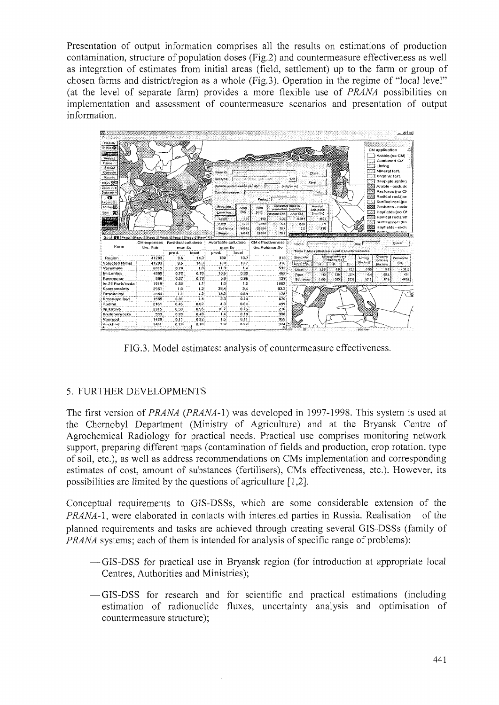Presentation of output information comprises all the results on estimations of production contamination, structure of population doses (Fig.2) and countermeasure effectiveness as well as integration of estimates from initial areas (field, settlement) up to the farm or group of chosen farms and district/region as a whole (Fig.3). Operation in the regime of "local level" (at the level of separate farm) provides a more flexible use of *PRANA* possibilities on implementation and assessment of countermeasure scenarios and presentation of output information.



FIG.3. Model estimates: analysis of countermeasure effectiveness.

# 5. FURTHER DEVELOPMENTS

The first version of *PRANA* (*PRANA*-1) was developed in 1997-1998. This system is used at the Chernobyl Department (Ministry of Agriculture) and at the Bryansk Centre of Agrochemical Radiology for practical needs. Practical use comprises monitoring network support, preparing different maps (contamination of fields and production, crop rotation, type of soil, etc.), as well as address recommendations on CMs implementation and corresponding estimates of cost, amount of substances (fertilisers), CMs effectiveness, etc.). However, its possibilities are limited by the questions of agriculture  $[1,2]$ .

Conceptual requirements to GIS-DSSs, which are some considerable extension of the PRANA-1, were elaborated in contacts with interested parties in Russia. Realisation of the planned requirements and tasks are achieved through creating several GIS-DSSs (family of *PRANA* systems; each of them is intended for analysis of specific range of problems):

- —GIS-DSS for practical use in Bryansk region (for introduction at appropriate local Centres, Authorities and Ministries):
- -GIS-DSS for research and for scientific and practical estimations (including estimation of radionuclide fluxes, uncertainty analysis and optimisation of countermeasure structure);